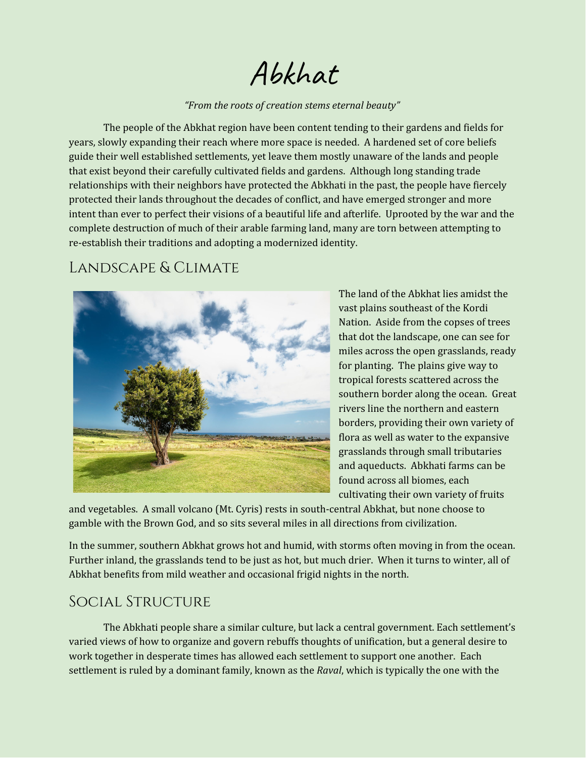Abkhat

#### *"From the roots of creation stems eternal beauty"*

The people of the Abkhat region have been content tending to their gardens and fields for years, slowly expanding their reach where more space is needed. A hardened set of core beliefs guide their well established settlements, yet leave them mostly unaware of the lands and people that exist beyond their carefully cultivated fields and gardens. Although long standing trade relationships with their neighbors have protected the Abkhati in the past, the people have fiercely protected their lands throughout the decades of conflict, and have emerged stronger and more intent than ever to perfect their visions of a beautiful life and afterlife. Uprooted by the war and the complete destruction of much of their arable farming land, many are torn between attempting to re-establish their traditions and adopting a modernized identity.

### Landscape & Climate



The land of the Abkhat lies amidst the vast plains southeast of the Kordi Nation. Aside from the copses of trees that dot the landscape, one can see for miles across the open grasslands, ready for planting. The plains give way to tropical forests scattered across the southern border along the ocean. Great rivers line the northern and eastern borders, providing their own variety of flora as well as water to the expansive grasslands through small tributaries and aqueducts. Abkhati farms can be found across all biomes, each cultivating their own variety of fruits

and vegetables. A small volcano (Mt. Cyris) rests in south-central Abkhat, but none choose to gamble with the Brown God, and so sits several miles in all directions from civilization.

In the summer, southern Abkhat grows hot and humid, with storms often moving in from the ocean. Further inland, the grasslands tend to be just as hot, but much drier. When it turns to winter, all of Abkhat benefits from mild weather and occasional frigid nights in the north.

#### Social Structure

The Abkhati people share a similar culture, but lack a central government. Each settlement's varied views of how to organize and govern rebuffs thoughts of unification, but a general desire to work together in desperate times has allowed each settlement to support one another. Each settlement is ruled by a dominant family, known as the *Raval*, which is typically the one with the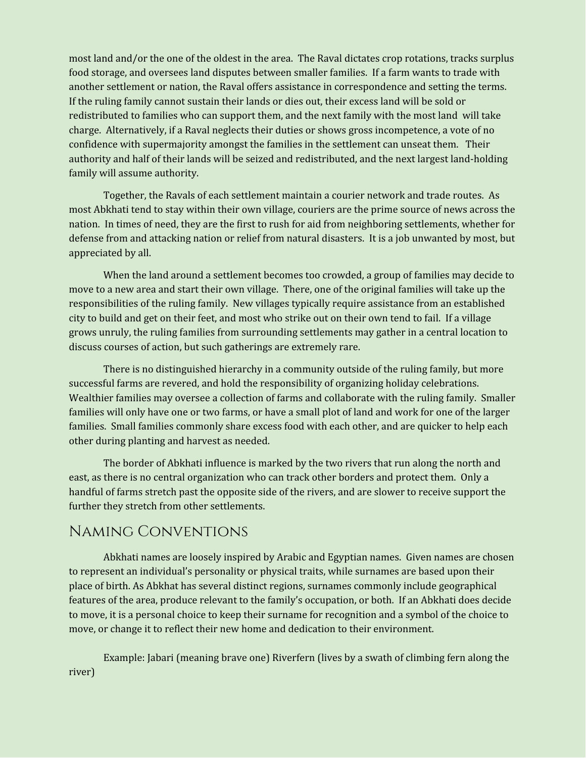most land and/or the one of the oldest in the area. The Raval dictates crop rotations, tracks surplus food storage, and oversees land disputes between smaller families. If a farm wants to trade with another settlement or nation, the Raval offers assistance in correspondence and setting the terms. If the ruling family cannot sustain their lands or dies out, their excess land will be sold or redistributed to families who can support them, and the next family with the most land will take charge. Alternatively, if a Raval neglects their duties or shows gross incompetence, a vote of no confidence with supermajority amongst the families in the settlement can unseat them. Their authority and half of their lands will be seized and redistributed, and the next largest land-holding family will assume authority.

Together, the Ravals of each settlement maintain a courier network and trade routes. As most Abkhati tend to stay within their own village, couriers are the prime source of news across the nation. In times of need, they are the first to rush for aid from neighboring settlements, whether for defense from and attacking nation or relief from natural disasters. It is a job unwanted by most, but appreciated by all.

When the land around a settlement becomes too crowded, a group of families may decide to move to a new area and start their own village. There, one of the original families will take up the responsibilities of the ruling family. New villages typically require assistance from an established city to build and get on their feet, and most who strike out on their own tend to fail. If a village grows unruly, the ruling families from surrounding settlements may gather in a central location to discuss courses of action, but such gatherings are extremely rare.

There is no distinguished hierarchy in a community outside of the ruling family, but more successful farms are revered, and hold the responsibility of organizing holiday celebrations. Wealthier families may oversee a collection of farms and collaborate with the ruling family. Smaller families will only have one or two farms, or have a small plot of land and work for one of the larger families. Small families commonly share excess food with each other, and are quicker to help each other during planting and harvest as needed.

The border of Abkhati influence is marked by the two rivers that run along the north and east, as there is no central organization who can track other borders and protect them. Only a handful of farms stretch past the opposite side of the rivers, and are slower to receive support the further they stretch from other settlements.

#### Naming Conventions

Abkhati names are loosely inspired by Arabic and Egyptian names. Given names are chosen to represent an individual's personality or physical traits, while surnames are based upon their place of birth. As Abkhat has several distinct regions, surnames commonly include geographical features of the area, produce relevant to the family's occupation, or both. If an Abkhati does decide to move, it is a personal choice to keep their surname for recognition and a symbol of the choice to move, or change it to reflect their new home and dedication to their environment.

Example: Jabari (meaning brave one) Riverfern (lives by a swath of climbing fern along the river)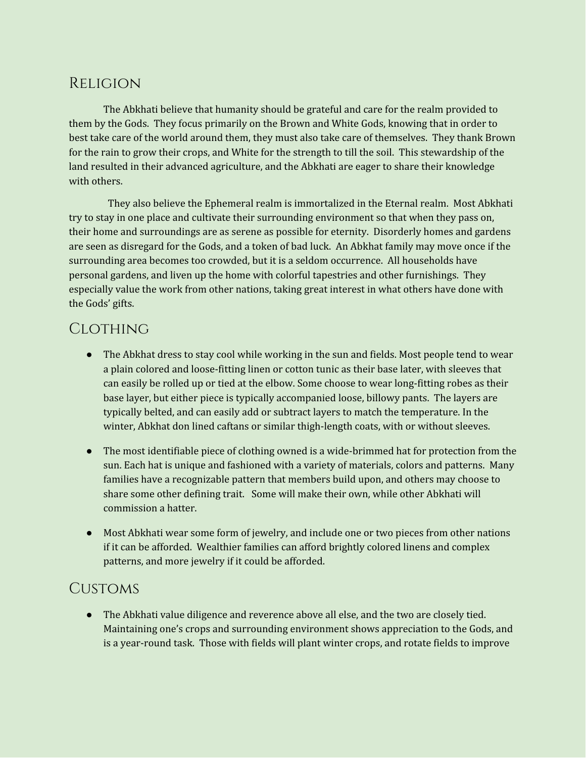## Religion

The Abkhati believe that humanity should be grateful and care for the realm provided to them by the Gods. They focus primarily on the Brown and White Gods, knowing that in order to best take care of the world around them, they must also take care of themselves. They thank Brown for the rain to grow their crops, and White for the strength to till the soil. This stewardship of the land resulted in their advanced agriculture, and the Abkhati are eager to share their knowledge with others.

They also believe the Ephemeral realm is immortalized in the Eternal realm. Most Abkhati try to stay in one place and cultivate their surrounding environment so that when they pass on, their home and surroundings are as serene as possible for eternity. Disorderly homes and gardens are seen as disregard for the Gods, and a token of bad luck. An Abkhat family may move once if the surrounding area becomes too crowded, but it is a seldom occurrence. All households have personal gardens, and liven up the home with colorful tapestries and other furnishings. They especially value the work from other nations, taking great interest in what others have done with the Gods' gifts.

# **CLOTHING**

- The Abkhat dress to stay cool while working in the sun and fields. Most people tend to wear a plain colored and loose-fitting linen or cotton tunic as their base later, with sleeves that can easily be rolled up or tied at the elbow. Some choose to wear long-fitting robes as their base layer, but either piece is typically accompanied loose, billowy pants. The layers are typically belted, and can easily add or subtract layers to match the temperature. In the winter, Abkhat don lined caftans or similar thigh-length coats, with or without sleeves.
- The most identifiable piece of clothing owned is a wide-brimmed hat for protection from the sun. Each hat is unique and fashioned with a variety of materials, colors and patterns. Many families have a recognizable pattern that members build upon, and others may choose to share some other defining trait. Some will make their own, while other Abkhati will commission a hatter.
- Most Abkhati wear some form of jewelry, and include one or two pieces from other nations if it can be afforded. Wealthier families can afford brightly colored linens and complex patterns, and more jewelry if it could be afforded.

# **CUSTOMS**

● The Abkhati value diligence and reverence above all else, and the two are closely tied. Maintaining one's crops and surrounding environment shows appreciation to the Gods, and is a year-round task. Those with fields will plant winter crops, and rotate fields to improve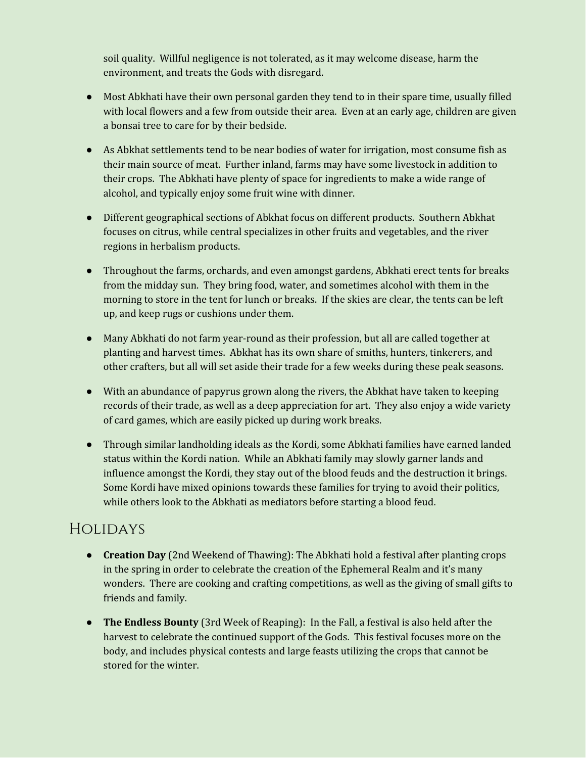soil quality. Willful negligence is not tolerated, as it may welcome disease, harm the environment, and treats the Gods with disregard.

- Most Abkhati have their own personal garden they tend to in their spare time, usually filled with local flowers and a few from outside their area. Even at an early age, children are given a bonsai tree to care for by their bedside.
- As Abkhat settlements tend to be near bodies of water for irrigation, most consume fish as their main source of meat. Further inland, farms may have some livestock in addition to their crops. The Abkhati have plenty of space for ingredients to make a wide range of alcohol, and typically enjoy some fruit wine with dinner.
- Different geographical sections of Abkhat focus on different products. Southern Abkhat focuses on citrus, while central specializes in other fruits and vegetables, and the river regions in herbalism products.
- Throughout the farms, orchards, and even amongst gardens, Abkhati erect tents for breaks from the midday sun. They bring food, water, and sometimes alcohol with them in the morning to store in the tent for lunch or breaks. If the skies are clear, the tents can be left up, and keep rugs or cushions under them.
- Many Abkhati do not farm year-round as their profession, but all are called together at planting and harvest times. Abkhat has its own share of smiths, hunters, tinkerers, and other crafters, but all will set aside their trade for a few weeks during these peak seasons.
- With an abundance of papyrus grown along the rivers, the Abkhat have taken to keeping records of their trade, as well as a deep appreciation for art. They also enjoy a wide variety of card games, which are easily picked up during work breaks.
- Through similar landholding ideals as the Kordi, some Abkhati families have earned landed status within the Kordi nation. While an Abkhati family may slowly garner lands and influence amongst the Kordi, they stay out of the blood feuds and the destruction it brings. Some Kordi have mixed opinions towards these families for trying to avoid their politics, while others look to the Abkhati as mediators before starting a blood feud.

# Holidays

- **Creation Day** (2nd Weekend of Thawing): The Abkhati hold a festival after planting crops in the spring in order to celebrate the creation of the Ephemeral Realm and it's many wonders. There are cooking and crafting competitions, as well as the giving of small gifts to friends and family.
- **The Endless Bounty** (3rd Week of Reaping): In the Fall, a festival is also held after the harvest to celebrate the continued support of the Gods. This festival focuses more on the body, and includes physical contests and large feasts utilizing the crops that cannot be stored for the winter.